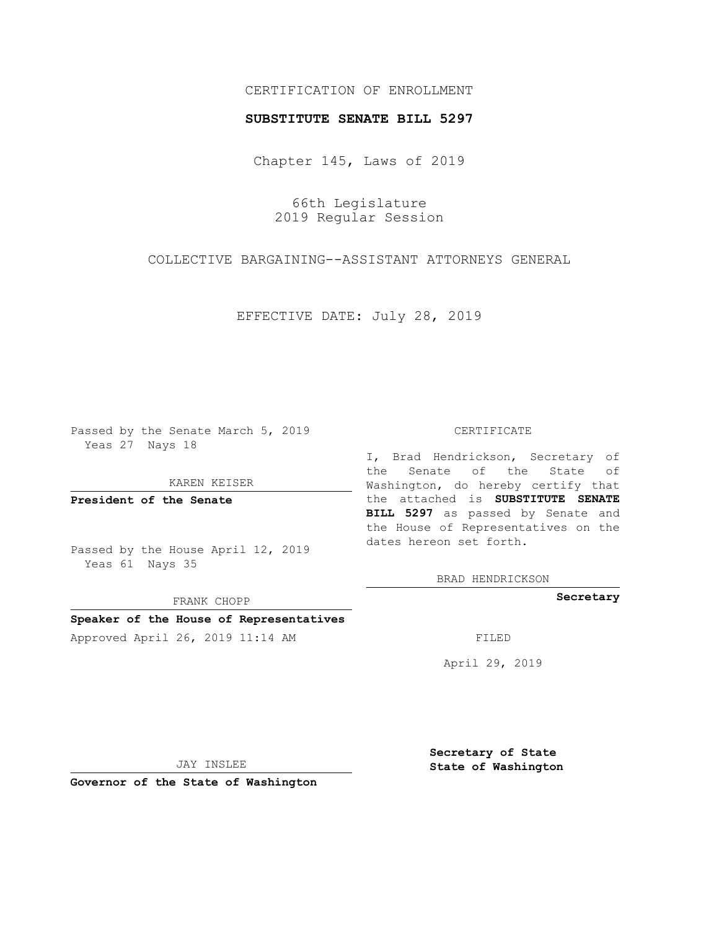# CERTIFICATION OF ENROLLMENT

### **SUBSTITUTE SENATE BILL 5297**

Chapter 145, Laws of 2019

66th Legislature 2019 Regular Session

COLLECTIVE BARGAINING--ASSISTANT ATTORNEYS GENERAL

EFFECTIVE DATE: July 28, 2019

Passed by the Senate March 5, 2019 Yeas 27 Nays 18

KAREN KEISER

**President of the Senate**

Passed by the House April 12, 2019 Yeas 61 Nays 35

FRANK CHOPP

## **Speaker of the House of Representatives**

Approved April 26, 2019 11:14 AM FILED

#### CERTIFICATE

I, Brad Hendrickson, Secretary of the Senate of the State of Washington, do hereby certify that the attached is **SUBSTITUTE SENATE BILL 5297** as passed by Senate and the House of Representatives on the dates hereon set forth.

BRAD HENDRICKSON

**Secretary**

April 29, 2019

JAY INSLEE

**Governor of the State of Washington**

**Secretary of State State of Washington**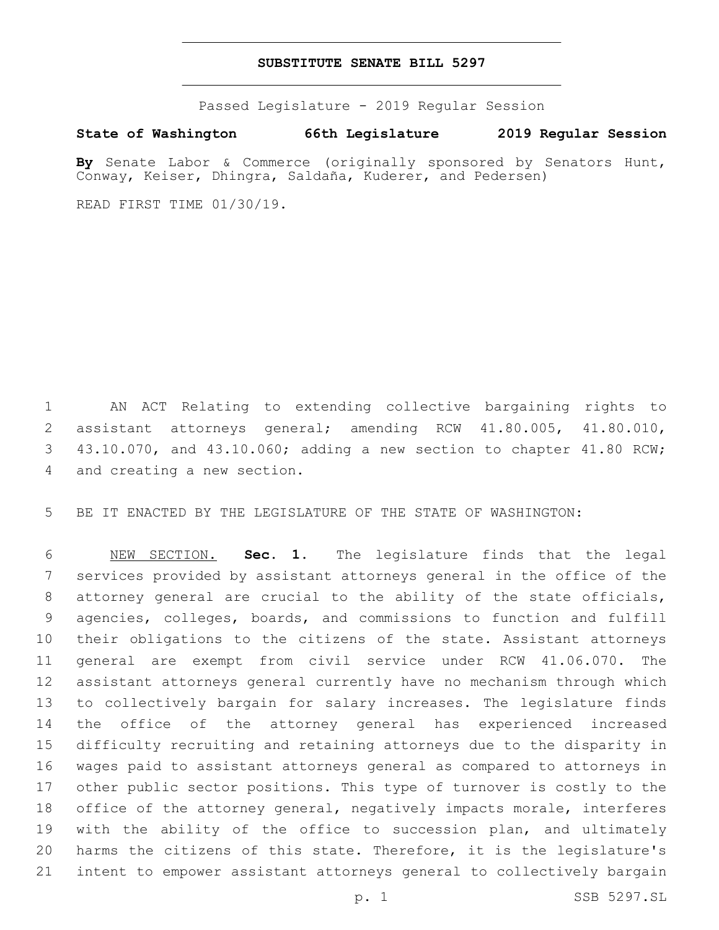### **SUBSTITUTE SENATE BILL 5297**

Passed Legislature - 2019 Regular Session

## **State of Washington 66th Legislature 2019 Regular Session**

**By** Senate Labor & Commerce (originally sponsored by Senators Hunt, Conway, Keiser, Dhingra, Saldaña, Kuderer, and Pedersen)

READ FIRST TIME 01/30/19.

 AN ACT Relating to extending collective bargaining rights to assistant attorneys general; amending RCW 41.80.005, 41.80.010, 43.10.070, and 43.10.060; adding a new section to chapter 41.80 RCW; 4 and creating a new section.

BE IT ENACTED BY THE LEGISLATURE OF THE STATE OF WASHINGTON:

 NEW SECTION. **Sec. 1.** The legislature finds that the legal services provided by assistant attorneys general in the office of the attorney general are crucial to the ability of the state officials, agencies, colleges, boards, and commissions to function and fulfill their obligations to the citizens of the state. Assistant attorneys general are exempt from civil service under RCW 41.06.070. The assistant attorneys general currently have no mechanism through which to collectively bargain for salary increases. The legislature finds the office of the attorney general has experienced increased difficulty recruiting and retaining attorneys due to the disparity in wages paid to assistant attorneys general as compared to attorneys in other public sector positions. This type of turnover is costly to the office of the attorney general, negatively impacts morale, interferes 19 with the ability of the office to succession plan, and ultimately harms the citizens of this state. Therefore, it is the legislature's intent to empower assistant attorneys general to collectively bargain

p. 1 SSB 5297.SL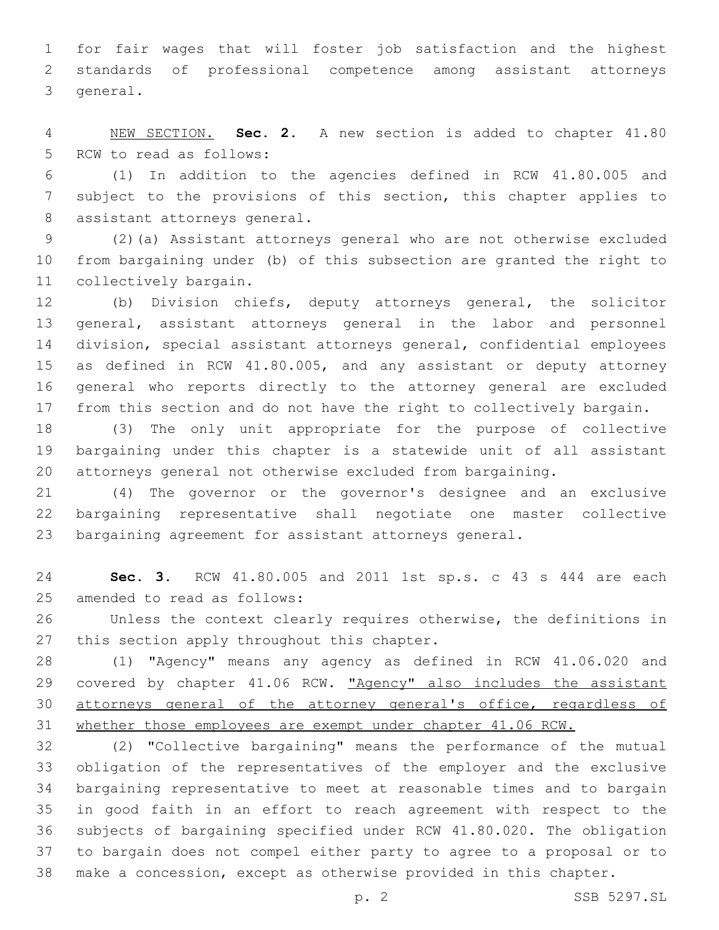for fair wages that will foster job satisfaction and the highest standards of professional competence among assistant attorneys 3 general.

 NEW SECTION. **Sec. 2.** A new section is added to chapter 41.80 5 RCW to read as follows:

 (1) In addition to the agencies defined in RCW 41.80.005 and subject to the provisions of this section, this chapter applies to 8 assistant attorneys general.

 (2)(a) Assistant attorneys general who are not otherwise excluded from bargaining under (b) of this subsection are granted the right to 11 collectively bargain.

 (b) Division chiefs, deputy attorneys general, the solicitor general, assistant attorneys general in the labor and personnel division, special assistant attorneys general, confidential employees as defined in RCW 41.80.005, and any assistant or deputy attorney general who reports directly to the attorney general are excluded from this section and do not have the right to collectively bargain.

 (3) The only unit appropriate for the purpose of collective bargaining under this chapter is a statewide unit of all assistant attorneys general not otherwise excluded from bargaining.

 (4) The governor or the governor's designee and an exclusive bargaining representative shall negotiate one master collective bargaining agreement for assistant attorneys general.

 **Sec. 3.** RCW 41.80.005 and 2011 1st sp.s. c 43 s 444 are each 25 amended to read as follows:

 Unless the context clearly requires otherwise, the definitions in 27 this section apply throughout this chapter.

 (1) "Agency" means any agency as defined in RCW 41.06.020 and 29 covered by chapter 41.06 RCW. "Agency" also includes the assistant 30 attorneys general of the attorney general's office, regardless of whether those employees are exempt under chapter 41.06 RCW.

 (2) "Collective bargaining" means the performance of the mutual obligation of the representatives of the employer and the exclusive bargaining representative to meet at reasonable times and to bargain in good faith in an effort to reach agreement with respect to the subjects of bargaining specified under RCW 41.80.020. The obligation to bargain does not compel either party to agree to a proposal or to make a concession, except as otherwise provided in this chapter.

p. 2 SSB 5297.SL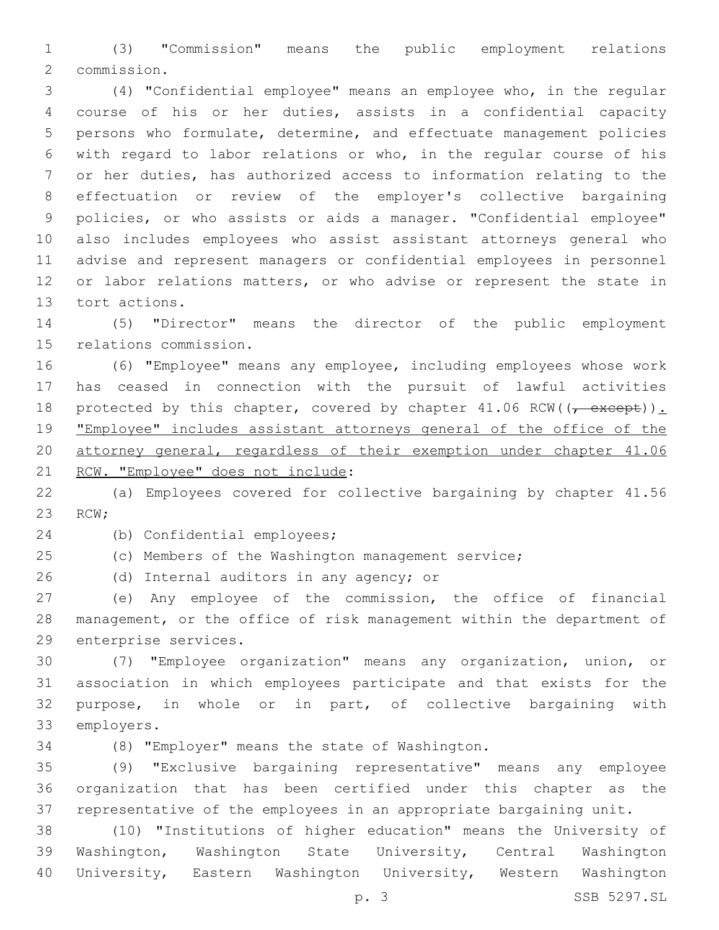(3) "Commission" means the public employment relations 2 commission.

 (4) "Confidential employee" means an employee who, in the regular course of his or her duties, assists in a confidential capacity persons who formulate, determine, and effectuate management policies with regard to labor relations or who, in the regular course of his or her duties, has authorized access to information relating to the effectuation or review of the employer's collective bargaining policies, or who assists or aids a manager. "Confidential employee" also includes employees who assist assistant attorneys general who advise and represent managers or confidential employees in personnel 12 or labor relations matters, or who advise or represent the state in 13 tort actions.

 (5) "Director" means the director of the public employment 15 relations commission.

 (6) "Employee" means any employee, including employees whose work has ceased in connection with the pursuit of lawful activities 18 protected by this chapter, covered by chapter  $41.06$  RCW( $(-$  except)). "Employee" includes assistant attorneys general of the office of the attorney general, regardless of their exemption under chapter 41.06 21 RCW. "Employee" does not include:

 (a) Employees covered for collective bargaining by chapter 41.56 23 RCW;

24 (b) Confidential employees;

(c) Members of the Washington management service;

26 (d) Internal auditors in any agency; or

 (e) Any employee of the commission, the office of financial management, or the office of risk management within the department of 29 enterprise services.

 (7) "Employee organization" means any organization, union, or association in which employees participate and that exists for the purpose, in whole or in part, of collective bargaining with 33 employers.

(8) "Employer" means the state of Washington.34

 (9) "Exclusive bargaining representative" means any employee organization that has been certified under this chapter as the representative of the employees in an appropriate bargaining unit.

 (10) "Institutions of higher education" means the University of Washington, Washington State University, Central Washington University, Eastern Washington University, Western Washington

p. 3 SSB 5297.SL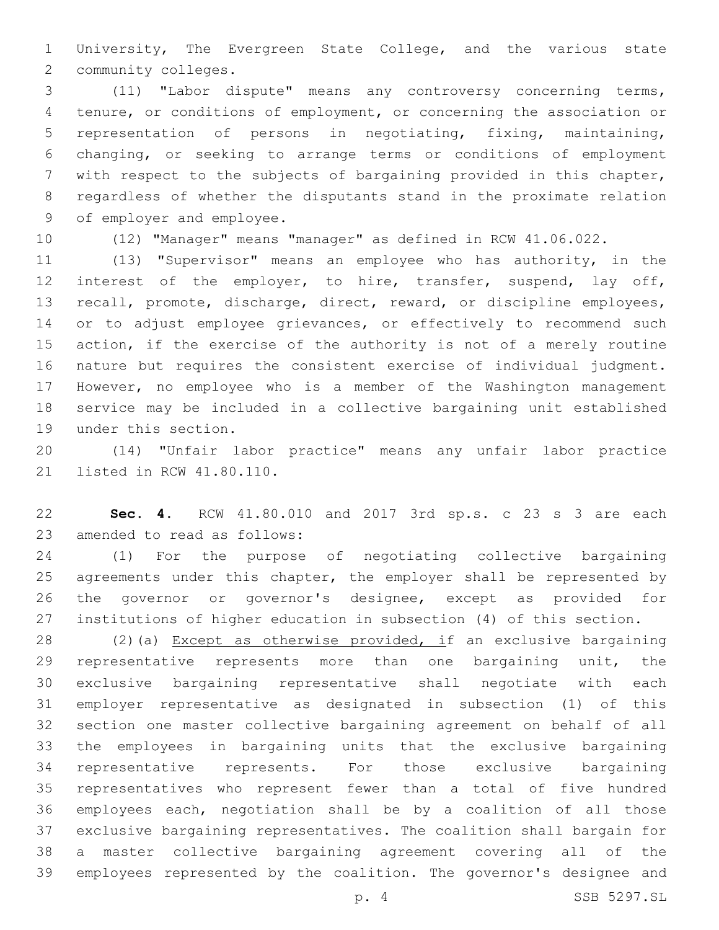University, The Evergreen State College, and the various state 2 community colleges.

 (11) "Labor dispute" means any controversy concerning terms, tenure, or conditions of employment, or concerning the association or representation of persons in negotiating, fixing, maintaining, changing, or seeking to arrange terms or conditions of employment with respect to the subjects of bargaining provided in this chapter, regardless of whether the disputants stand in the proximate relation 9 of employer and employee.

(12) "Manager" means "manager" as defined in RCW 41.06.022.

 (13) "Supervisor" means an employee who has authority, in the interest of the employer, to hire, transfer, suspend, lay off, recall, promote, discharge, direct, reward, or discipline employees, 14 or to adjust employee grievances, or effectively to recommend such action, if the exercise of the authority is not of a merely routine nature but requires the consistent exercise of individual judgment. However, no employee who is a member of the Washington management service may be included in a collective bargaining unit established 19 under this section.

 (14) "Unfair labor practice" means any unfair labor practice 21 listed in RCW 41.80.110.

 **Sec. 4.** RCW 41.80.010 and 2017 3rd sp.s. c 23 s 3 are each 23 amended to read as follows:

 (1) For the purpose of negotiating collective bargaining agreements under this chapter, the employer shall be represented by the governor or governor's designee, except as provided for institutions of higher education in subsection (4) of this section.

 (2)(a) Except as otherwise provided, if an exclusive bargaining 29 representative represents more than one bargaining unit, the exclusive bargaining representative shall negotiate with each employer representative as designated in subsection (1) of this section one master collective bargaining agreement on behalf of all the employees in bargaining units that the exclusive bargaining representative represents. For those exclusive bargaining representatives who represent fewer than a total of five hundred employees each, negotiation shall be by a coalition of all those exclusive bargaining representatives. The coalition shall bargain for a master collective bargaining agreement covering all of the employees represented by the coalition. The governor's designee and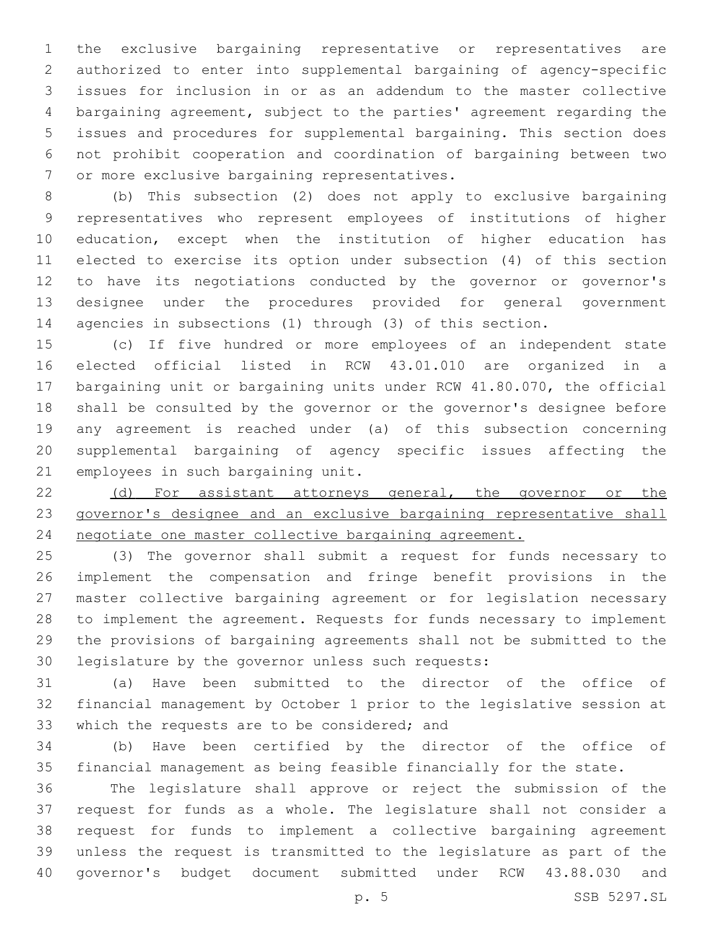the exclusive bargaining representative or representatives are authorized to enter into supplemental bargaining of agency-specific issues for inclusion in or as an addendum to the master collective bargaining agreement, subject to the parties' agreement regarding the issues and procedures for supplemental bargaining. This section does not prohibit cooperation and coordination of bargaining between two 7 or more exclusive bargaining representatives.

 (b) This subsection (2) does not apply to exclusive bargaining representatives who represent employees of institutions of higher education, except when the institution of higher education has elected to exercise its option under subsection (4) of this section to have its negotiations conducted by the governor or governor's designee under the procedures provided for general government agencies in subsections (1) through (3) of this section.

 (c) If five hundred or more employees of an independent state elected official listed in RCW 43.01.010 are organized in a bargaining unit or bargaining units under RCW 41.80.070, the official shall be consulted by the governor or the governor's designee before any agreement is reached under (a) of this subsection concerning supplemental bargaining of agency specific issues affecting the 21 employees in such bargaining unit.

22 (d) For assistant attorneys general, the governor or the governor's designee and an exclusive bargaining representative shall negotiate one master collective bargaining agreement.

 (3) The governor shall submit a request for funds necessary to implement the compensation and fringe benefit provisions in the master collective bargaining agreement or for legislation necessary to implement the agreement. Requests for funds necessary to implement the provisions of bargaining agreements shall not be submitted to the 30 legislature by the governor unless such requests:

 (a) Have been submitted to the director of the office of financial management by October 1 prior to the legislative session at 33 which the requests are to be considered; and

 (b) Have been certified by the director of the office of financial management as being feasible financially for the state.

 The legislature shall approve or reject the submission of the request for funds as a whole. The legislature shall not consider a request for funds to implement a collective bargaining agreement unless the request is transmitted to the legislature as part of the governor's budget document submitted under RCW 43.88.030 and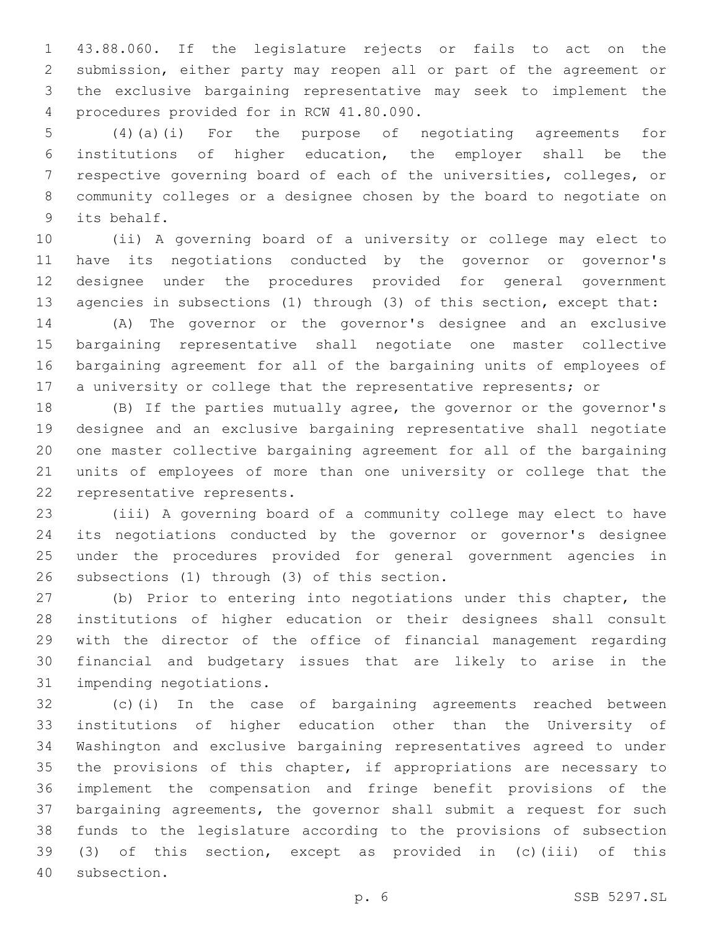43.88.060. If the legislature rejects or fails to act on the submission, either party may reopen all or part of the agreement or the exclusive bargaining representative may seek to implement the 4 procedures provided for in RCW 41.80.090.

 (4)(a)(i) For the purpose of negotiating agreements for institutions of higher education, the employer shall be the respective governing board of each of the universities, colleges, or community colleges or a designee chosen by the board to negotiate on 9 its behalf.

 (ii) A governing board of a university or college may elect to have its negotiations conducted by the governor or governor's designee under the procedures provided for general government agencies in subsections (1) through (3) of this section, except that:

 (A) The governor or the governor's designee and an exclusive bargaining representative shall negotiate one master collective bargaining agreement for all of the bargaining units of employees of 17 a university or college that the representative represents; or

 (B) If the parties mutually agree, the governor or the governor's designee and an exclusive bargaining representative shall negotiate one master collective bargaining agreement for all of the bargaining units of employees of more than one university or college that the 22 representative represents.

 (iii) A governing board of a community college may elect to have its negotiations conducted by the governor or governor's designee under the procedures provided for general government agencies in 26 subsections (1) through (3) of this section.

 (b) Prior to entering into negotiations under this chapter, the institutions of higher education or their designees shall consult with the director of the office of financial management regarding financial and budgetary issues that are likely to arise in the 31 impending negotiations.

 (c)(i) In the case of bargaining agreements reached between institutions of higher education other than the University of Washington and exclusive bargaining representatives agreed to under 35 the provisions of this chapter, if appropriations are necessary to implement the compensation and fringe benefit provisions of the bargaining agreements, the governor shall submit a request for such funds to the legislature according to the provisions of subsection (3) of this section, except as provided in (c)(iii) of this 40 subsection.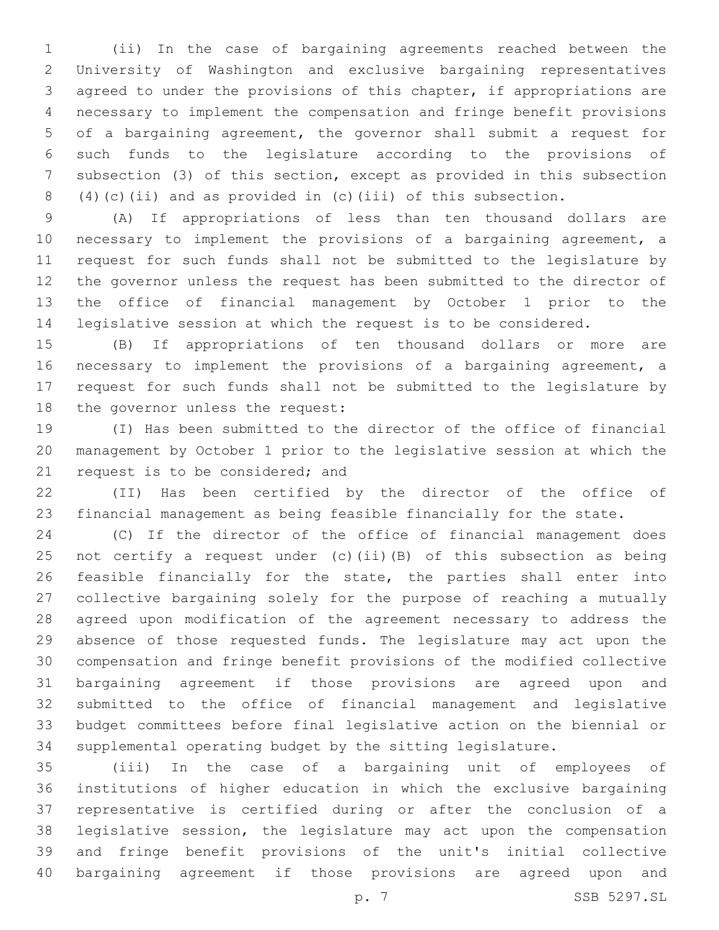(ii) In the case of bargaining agreements reached between the University of Washington and exclusive bargaining representatives agreed to under the provisions of this chapter, if appropriations are necessary to implement the compensation and fringe benefit provisions of a bargaining agreement, the governor shall submit a request for such funds to the legislature according to the provisions of subsection (3) of this section, except as provided in this subsection (4)(c)(ii) and as provided in (c)(iii) of this subsection.

 (A) If appropriations of less than ten thousand dollars are necessary to implement the provisions of a bargaining agreement, a request for such funds shall not be submitted to the legislature by the governor unless the request has been submitted to the director of the office of financial management by October 1 prior to the legislative session at which the request is to be considered.

 (B) If appropriations of ten thousand dollars or more are necessary to implement the provisions of a bargaining agreement, a request for such funds shall not be submitted to the legislature by 18 the governor unless the request:

 (I) Has been submitted to the director of the office of financial management by October 1 prior to the legislative session at which the 21 request is to be considered; and

 (II) Has been certified by the director of the office of financial management as being feasible financially for the state.

 (C) If the director of the office of financial management does not certify a request under (c)(ii)(B) of this subsection as being feasible financially for the state, the parties shall enter into collective bargaining solely for the purpose of reaching a mutually agreed upon modification of the agreement necessary to address the absence of those requested funds. The legislature may act upon the compensation and fringe benefit provisions of the modified collective bargaining agreement if those provisions are agreed upon and submitted to the office of financial management and legislative budget committees before final legislative action on the biennial or supplemental operating budget by the sitting legislature.

 (iii) In the case of a bargaining unit of employees of institutions of higher education in which the exclusive bargaining representative is certified during or after the conclusion of a legislative session, the legislature may act upon the compensation and fringe benefit provisions of the unit's initial collective bargaining agreement if those provisions are agreed upon and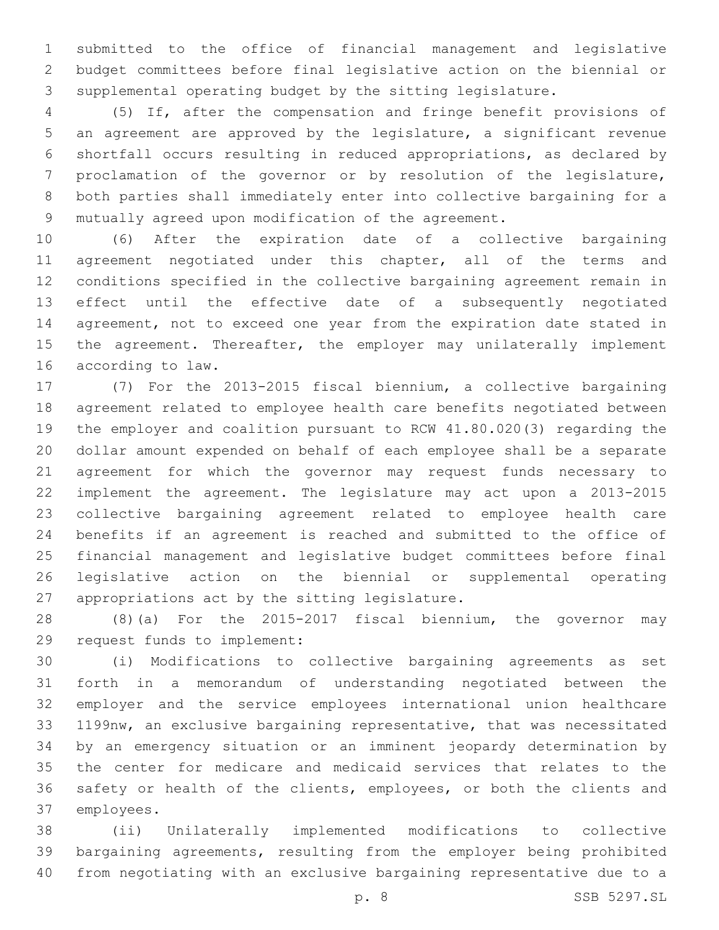submitted to the office of financial management and legislative budget committees before final legislative action on the biennial or supplemental operating budget by the sitting legislature.

 (5) If, after the compensation and fringe benefit provisions of an agreement are approved by the legislature, a significant revenue shortfall occurs resulting in reduced appropriations, as declared by proclamation of the governor or by resolution of the legislature, both parties shall immediately enter into collective bargaining for a mutually agreed upon modification of the agreement.

 (6) After the expiration date of a collective bargaining agreement negotiated under this chapter, all of the terms and conditions specified in the collective bargaining agreement remain in effect until the effective date of a subsequently negotiated agreement, not to exceed one year from the expiration date stated in 15 the agreement. Thereafter, the employer may unilaterally implement 16 according to law.

 (7) For the 2013-2015 fiscal biennium, a collective bargaining agreement related to employee health care benefits negotiated between the employer and coalition pursuant to RCW 41.80.020(3) regarding the dollar amount expended on behalf of each employee shall be a separate agreement for which the governor may request funds necessary to implement the agreement. The legislature may act upon a 2013-2015 collective bargaining agreement related to employee health care benefits if an agreement is reached and submitted to the office of financial management and legislative budget committees before final legislative action on the biennial or supplemental operating 27 appropriations act by the sitting legislature.

 (8)(a) For the 2015-2017 fiscal biennium, the governor may 29 request funds to implement:

 (i) Modifications to collective bargaining agreements as set forth in a memorandum of understanding negotiated between the employer and the service employees international union healthcare 1199nw, an exclusive bargaining representative, that was necessitated by an emergency situation or an imminent jeopardy determination by the center for medicare and medicaid services that relates to the safety or health of the clients, employees, or both the clients and 37 employees.

 (ii) Unilaterally implemented modifications to collective bargaining agreements, resulting from the employer being prohibited from negotiating with an exclusive bargaining representative due to a

p. 8 SSB 5297.SL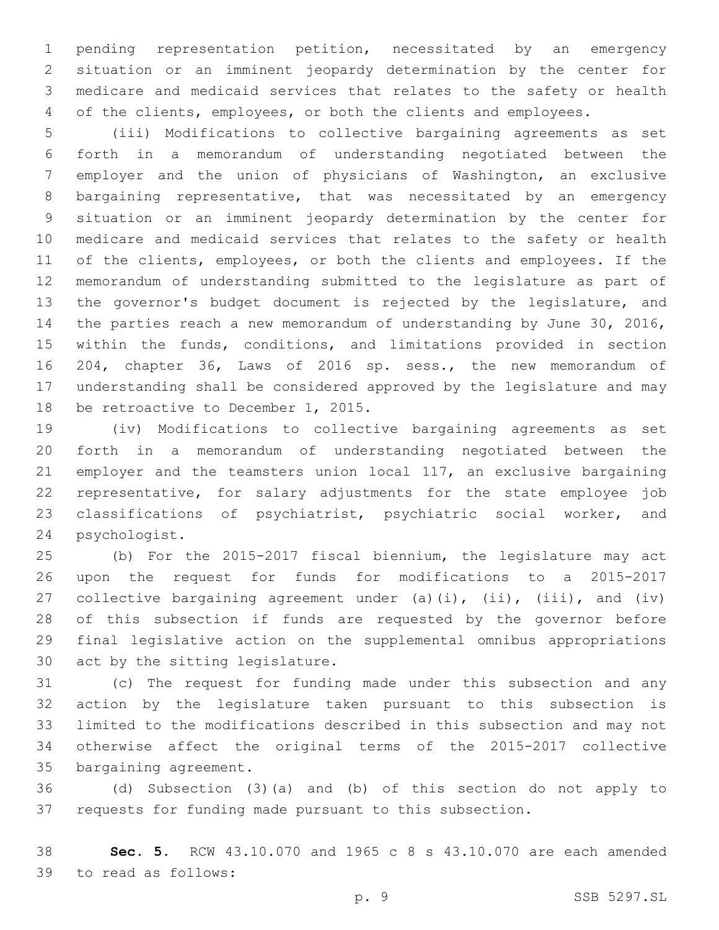pending representation petition, necessitated by an emergency situation or an imminent jeopardy determination by the center for medicare and medicaid services that relates to the safety or health of the clients, employees, or both the clients and employees.

 (iii) Modifications to collective bargaining agreements as set forth in a memorandum of understanding negotiated between the employer and the union of physicians of Washington, an exclusive bargaining representative, that was necessitated by an emergency situation or an imminent jeopardy determination by the center for medicare and medicaid services that relates to the safety or health of the clients, employees, or both the clients and employees. If the memorandum of understanding submitted to the legislature as part of the governor's budget document is rejected by the legislature, and the parties reach a new memorandum of understanding by June 30, 2016, within the funds, conditions, and limitations provided in section 204, chapter 36, Laws of 2016 sp. sess., the new memorandum of understanding shall be considered approved by the legislature and may 18 be retroactive to December 1, 2015.

 (iv) Modifications to collective bargaining agreements as set forth in a memorandum of understanding negotiated between the employer and the teamsters union local 117, an exclusive bargaining representative, for salary adjustments for the state employee job classifications of psychiatrist, psychiatric social worker, and 24 psychologist.

 (b) For the 2015-2017 fiscal biennium, the legislature may act upon the request for funds for modifications to a 2015-2017 27 collective bargaining agreement under (a)(i), (ii), (iii), and (iv) of this subsection if funds are requested by the governor before final legislative action on the supplemental omnibus appropriations 30 act by the sitting legislature.

 (c) The request for funding made under this subsection and any action by the legislature taken pursuant to this subsection is limited to the modifications described in this subsection and may not otherwise affect the original terms of the 2015-2017 collective 35 bargaining agreement.

 (d) Subsection (3)(a) and (b) of this section do not apply to requests for funding made pursuant to this subsection.

 **Sec. 5.** RCW 43.10.070 and 1965 c 8 s 43.10.070 are each amended to read as follows:39